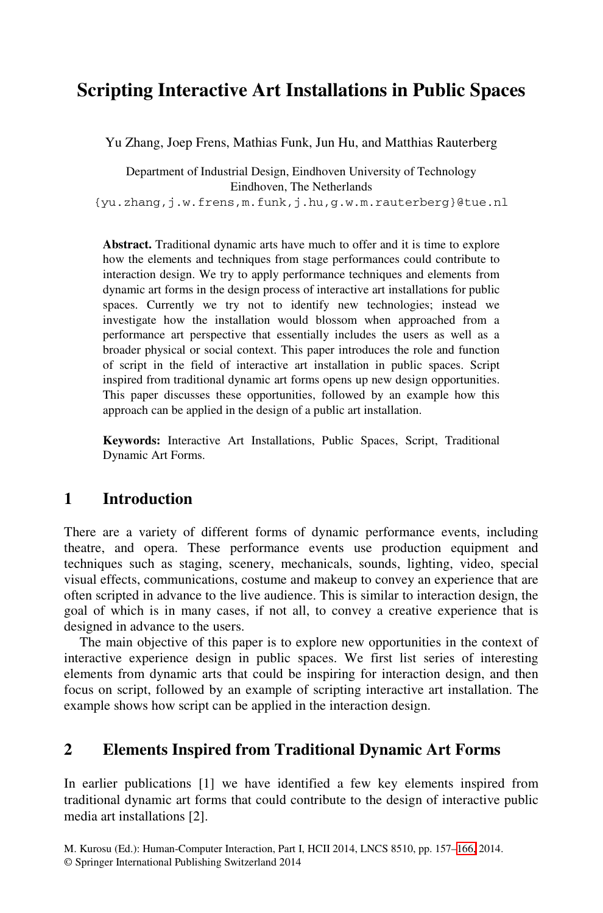# **Scripting Interactive Art Installations in Public Spaces**

Yu Zhang, Joep Frens, Mathias Funk, Jun Hu, and Matthias Rauterberg

Department of Industrial Design, Eindhoven University of Technology Eindhoven, The Netherlands {yu.zhang,j.w.frens,m.funk,j.hu,g.w.m.rauterberg}@tue.nl

**Abstract.** Traditional dynamic arts have much to offer and it is time to explore how the elements and techniques from stage performances could contribute to interaction design. We try to apply performance techniques and elements from dynamic art forms in the design process of interactive art installations for public spaces. Currently we try not to identify new technologies; instead we investigate how the installation would blossom when approached from a performance art perspective that essentially includes the users as well as a broader physical or social context. This paper introduces the role and function of script in the field of interactive art installation in public spaces. Script inspired from traditional dynamic art forms opens up new design opportunities. This paper discusses these opportunities, followed by an example how this approach can be applied in the design of a public art installation.

**Keywords:** Interactive Art Installations, Public Spaces, Script, Traditional Dynamic Art Forms.

#### **1 Introduction**

There are a variety of different forms of dynamic performance events, including theatre, and opera. These performance events use production equipment and techniques such as staging, scenery, mechanicals, sounds, lighting, video, special visual effects, communications, costume and makeup to convey an experience that are often scripted in advance to the live audience. This is similar to interaction design, the goal of which is in many cases, if not all, to convey a creative experience that is designed in advance to the users.

The main objective of this paper is to explore new opportunities in the context of interactive experience design in public spaces. We first list series of interesting elements from dynamic arts that could be inspiring for interaction design, and then focus on script, followed by an example of scripting interactive art installation. The example shows how script can be applied in the interaction design.

# **2 Elements Inspired from Traditional Dynamic Art Forms**

In earlier publications [1] we have identified a few key elements inspired from traditional dynamic art forms that could contribute to the design of interactive public media art installations [2].

M. Kurosu (Ed.): Human-Computer Interaction, Part I, HCII 2014, LNCS 8510, pp. 157–166, 2014. © Springer International Publishing Switzerland 2014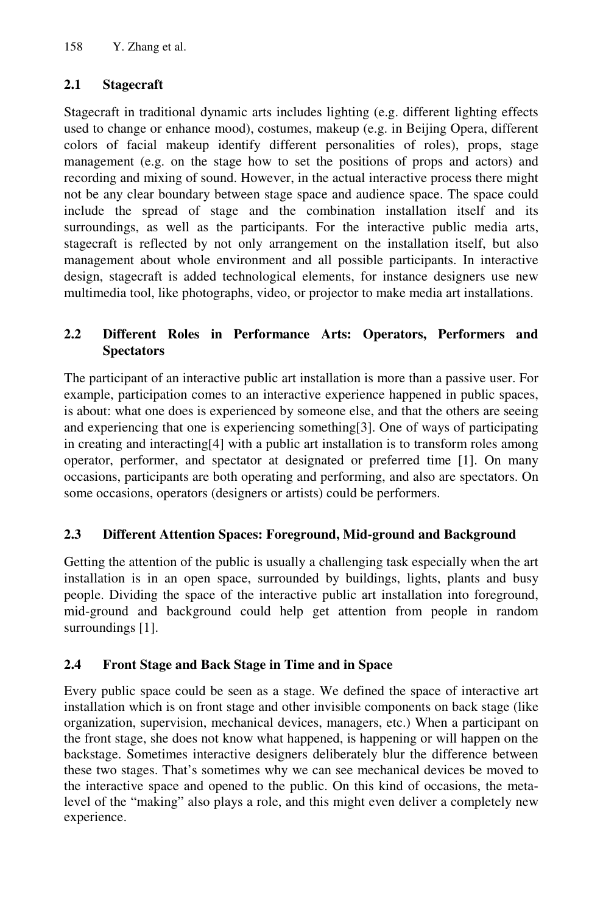### **2.1 Stagecraft**

Stagecraft in traditional dynamic arts includes lighting (e.g. different lighting effects used to change or enhance mood), costumes, makeup (e.g. in Beijing Opera, different colors of facial makeup identify different personalities of roles), props, stage management (e.g. on the stage how to set the positions of props and actors) and recording and mixing of sound. However, in the actual interactive process there might not be any clear boundary between stage space and audience space. The space could include the spread of stage and the combination installation itself and its surroundings, as well as the participants. For the interactive public media arts, stagecraft is reflected by not only arrangement on the installation itself, but also management about whole environment and all possible participants. In interactive design, stagecraft is added technological elements, for instance designers use new multimedia tool, like photographs, video, or projector to make media art installations.

# **2.2 Different Roles in Performance Arts: Operators, Performers and Spectators**

The participant of an interactive public art installation is more than a passive user. For example, participation comes to an interactive experience happened in public spaces, is about: what one does is experienced by someone else, and that the others are seeing and experiencing that one is experiencing something[3]. One of ways of participating in creating and interacting[4] with a public art installation is to transform roles among operator, performer, and spectator at designated or preferred time [1]. On many occasions, participants are both operating and performing, and also are spectators. On some occasions, operators (designers or artists) could be performers.

#### **2.3 Different Attention Spaces: Foreground, Mid-ground and Background**

Getting the attention of the public is usually a challenging task especially when the art installation is in an open space, surrounded by buildings, lights, plants and busy people. Dividing the space of the interactive public art installation into foreground, mid-ground and background could help get attention from people in random surroundings [1].

#### **2.4 Front Stage and Back Stage in Time and in Space**

Every public space could be seen as a stage. We defined the space of interactive art installation which is on front stage and other invisible components on back stage (like organization, supervision, mechanical devices, managers, etc.) When a participant on the front stage, she does not know what happened, is happening or will happen on the backstage. Sometimes interactive designers deliberately blur the difference between these two stages. That's sometimes why we can see mechanical devices be moved to the interactive space and opened to the public. On this kind of occasions, the metalevel of the "making" also plays a role, and this might even deliver a completely new experience.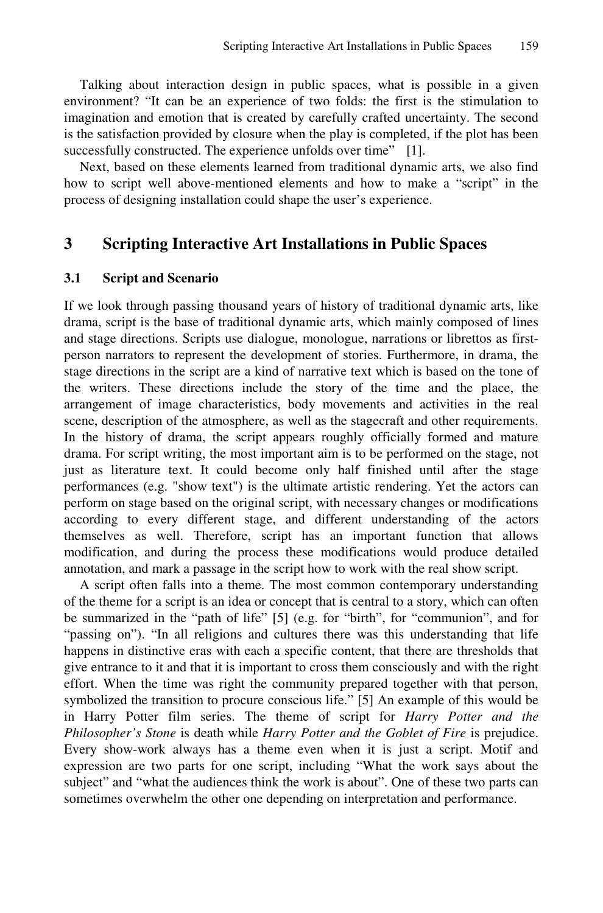Talking about interaction design in public spaces, what is possible in a given environment? "It can be an experience of two folds: the first is the stimulation to imagination and emotion that is created by carefully crafted uncertainty. The second is the satisfaction provided by closure when the play is completed, if the plot has been successfully constructed. The experience unfolds over time" [1].

Next, based on these elements learned from traditional dynamic arts, we also find how to script well above-mentioned elements and how to make a "script" in the process of designing installation could shape the user's experience.

# **3 Scripting Interactive Art Installations in Public Spaces**

#### **3.1 Script and Scenario**

If we look through passing thousand years of history of traditional dynamic arts, like drama, script is the base of traditional dynamic arts, which mainly composed of lines and stage directions. Scripts use dialogue, monologue, narrations or librettos as firstperson narrators to represent the development of stories. Furthermore, in drama, the stage directions in the script are a kind of narrative text which is based on the tone of the writers. These directions include the story of the time and the place, the arrangement of image characteristics, body movements and activities in the real scene, description of the atmosphere, as well as the stagecraft and other requirements. In the history of drama, the script appears roughly officially formed and mature drama. For script writing, the most important aim is to be performed on the stage, not just as literature text. It could become only half finished until after the stage performances (e.g. "show text") is the ultimate artistic rendering. Yet the actors can perform on stage based on the original script, with necessary changes or modifications according to every different stage, and different understanding of the actors themselves as well. Therefore, script has an important function that allows modification, and during the process these modifications would produce detailed annotation, and mark a passage in the script how to work with the real show script.

A script often falls into a theme. The most common contemporary understanding of the theme for a script is an idea or concept that is central to a story, which can often be summarized in the "path of life" [5] (e.g. for "birth", for "communion", and for "passing on"). "In all religions and cultures there was this understanding that life happens in distinctive eras with each a specific content, that there are thresholds that give entrance to it and that it is important to cross them consciously and with the right effort. When the time was right the community prepared together with that person, symbolized the transition to procure conscious life." [5] An example of this would be in Harry Potter film series. The theme of script for *Harry Potter and the Philosopher's Stone* is death while *Harry Potter and the Goblet of Fire* is prejudice. Every show-work always has a theme even when it is just a script. Motif and expression are two parts for one script, including "What the work says about the subject" and "what the audiences think the work is about". One of these two parts can sometimes overwhelm the other one depending on interpretation and performance.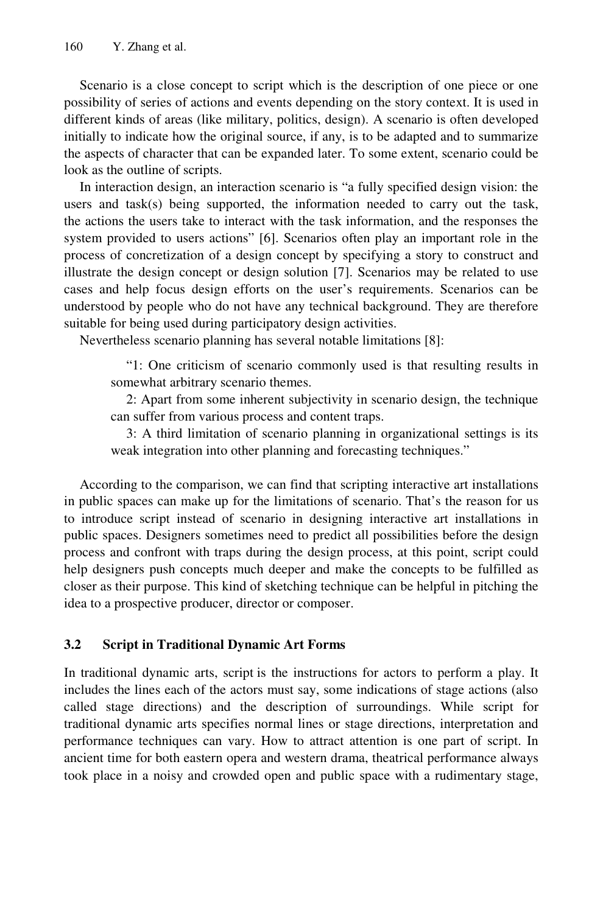Scenario is a close concept to script which is the description of one piece or one possibility of series of actions and events depending on the story context. It is used in different kinds of areas (like military, politics, design). A scenario is often developed initially to indicate how the original source, if any, is to be adapted and to summarize the aspects of character that can be expanded later. To some extent, scenario could be look as the outline of scripts.

In interaction design, an interaction scenario is "a fully specified design vision: the users and task(s) being supported, the information needed to carry out the task, the actions the users take to interact with the task information, and the responses the system provided to users actions" [6]. Scenarios often play an important role in the process of concretization of a design concept by specifying a story to construct and illustrate the design concept or design solution [7]. Scenarios may be related to use cases and help focus design efforts on the user's requirements. Scenarios can be understood by people who do not have any technical background. They are therefore suitable for being used during participatory design activities.

Nevertheless scenario planning has several notable limitations [8]:

"1: One criticism of scenario commonly used is that resulting results in somewhat arbitrary scenario themes.

2: Apart from some inherent subjectivity in scenario design, the technique can suffer from various process and content traps.

3: A third limitation of scenario planning in organizational settings is its weak integration into other planning and forecasting techniques."

According to the comparison, we can find that scripting interactive art installations in public spaces can make up for the limitations of scenario. That's the reason for us to introduce script instead of scenario in designing interactive art installations in public spaces. Designers sometimes need to predict all possibilities before the design process and confront with traps during the design process, at this point, script could help designers push concepts much deeper and make the concepts to be fulfilled as closer as their purpose. This kind of sketching technique can be helpful in pitching the idea to a prospective producer, director or composer.

#### **3.2 Script in Traditional Dynamic Art Forms**

In traditional dynamic arts, script is the instructions for actors to perform a play. It includes the lines each of the actors must say, some indications of stage actions (also called stage directions) and the description of surroundings. While script for traditional dynamic arts specifies normal lines or stage directions, interpretation and performance techniques can vary. How to attract attention is one part of script. In ancient time for both eastern opera and western drama, theatrical performance always took place in a noisy and crowded open and public space with a rudimentary stage,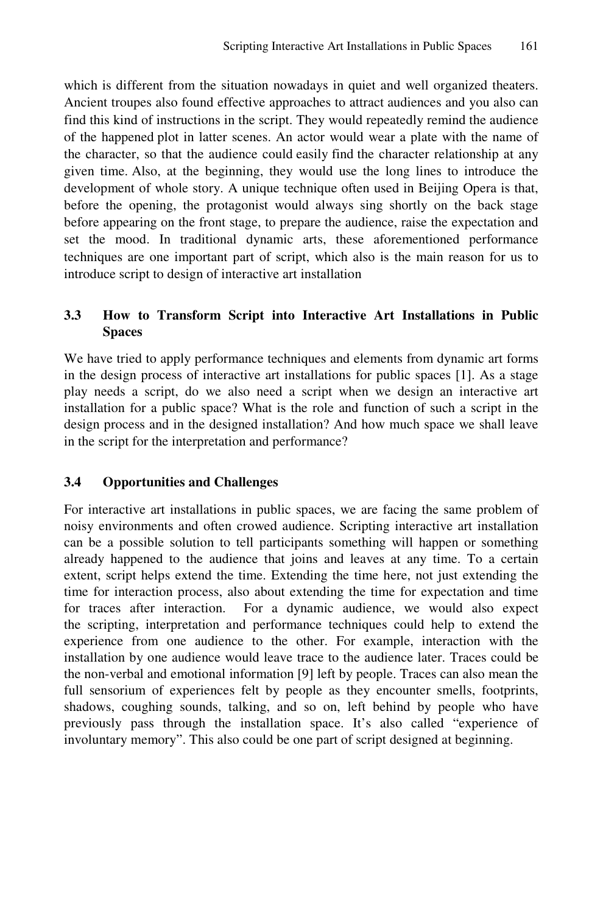which is different from the situation nowadays in quiet and well organized theaters. Ancient troupes also found effective approaches to attract audiences and you also can find this kind of instructions in the script. They would repeatedly remind the audience of the happened plot in latter scenes. An actor would wear a plate with the name of the character, so that the audience could easily find the character relationship at any given time. Also, at the beginning, they would use the long lines to introduce the development of whole story. A unique technique often used in Beijing Opera is that, before the opening, the protagonist would always sing shortly on the back stage before appearing on the front stage, to prepare the audience, raise the expectation and set the mood. In traditional dynamic arts, these aforementioned performance techniques are one important part of script, which also is the main reason for us to introduce script to design of interactive art installation

# **3.3 How to Transform Script into Interactive Art Installations in Public Spaces**

We have tried to apply performance techniques and elements from dynamic art forms in the design process of interactive art installations for public spaces [1]. As a stage play needs a script, do we also need a script when we design an interactive art installation for a public space? What is the role and function of such a script in the design process and in the designed installation? And how much space we shall leave in the script for the interpretation and performance?

# **3.4 Opportunities and Challenges**

For interactive art installations in public spaces, we are facing the same problem of noisy environments and often crowed audience. Scripting interactive art installation can be a possible solution to tell participants something will happen or something already happened to the audience that joins and leaves at any time. To a certain extent, script helps extend the time. Extending the time here, not just extending the time for interaction process, also about extending the time for expectation and time for traces after interaction. For a dynamic audience, we would also expect the scripting, interpretation and performance techniques could help to extend the experience from one audience to the other. For example, interaction with the installation by one audience would leave trace to the audience later. Traces could be the non-verbal and emotional information [9] left by people. Traces can also mean the full sensorium of experiences felt by people as they encounter smells, footprints, shadows, coughing sounds, talking, and so on, left behind by people who have previously pass through the installation space. It's also called "experience of involuntary memory". This also could be one part of script designed at beginning.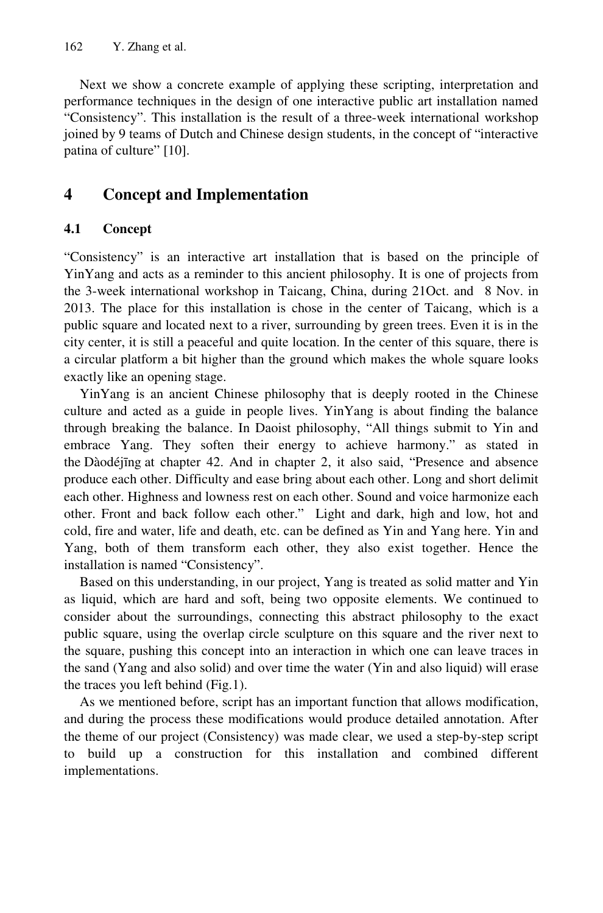Next we show a concrete example of applying these scripting, interpretation and performance techniques in the design of one interactive public art installation named "Consistency". This installation is the result of a three-week international workshop joined by 9 teams of Dutch and Chinese design students, in the concept of "interactive patina of culture" [10].

# **4 Concept and Implementation**

# **4.1 Concept**

"Consistency" is an interactive art installation that is based on the principle of YinYang and acts as a reminder to this ancient philosophy. It is one of projects from the 3-week international workshop in Taicang, China, during 21Oct. and 8 Nov. in 2013. The place for this installation is chose in the center of Taicang, which is a public square and located next to a river, surrounding by green trees. Even it is in the city center, it is still a peaceful and quite location. In the center of this square, there is a circular platform a bit higher than the ground which makes the whole square looks exactly like an opening stage.

YinYang is an ancient Chinese philosophy that is deeply rooted in the Chinese culture and acted as a guide in people lives. YinYang is about finding the balance through breaking the balance. In Daoist philosophy, "All things submit to Yin and embrace Yang. They soften their energy to achieve harmony." as stated in the Dàodéjīng at chapter 42. And in chapter 2, it also said, "Presence and absence produce each other. Difficulty and ease bring about each other. Long and short delimit each other. Highness and lowness rest on each other. Sound and voice harmonize each other. Front and back follow each other." Light and dark, high and low, hot and cold, fire and water, life and death, etc. can be defined as Yin and Yang here. Yin and Yang, both of them transform each other, they also exist together. Hence the installation is named "Consistency".

Based on this understanding, in our project, Yang is treated as solid matter and Yin as liquid, which are hard and soft, being two opposite elements. We continued to consider about the surroundings, connecting this abstract philosophy to the exact public square, using the overlap circle sculpture on this square and the river next to the square, pushing this concept into an interaction in which one can leave traces in the sand (Yang and also solid) and over time the water (Yin and also liquid) will erase the traces you left behind (Fig.1).

As we mentioned before, script has an important function that allows modification, and during the process these modifications would produce detailed annotation. After the theme of our project (Consistency) was made clear, we used a step-by-step script to build up a construction for this installation and combined different implementations.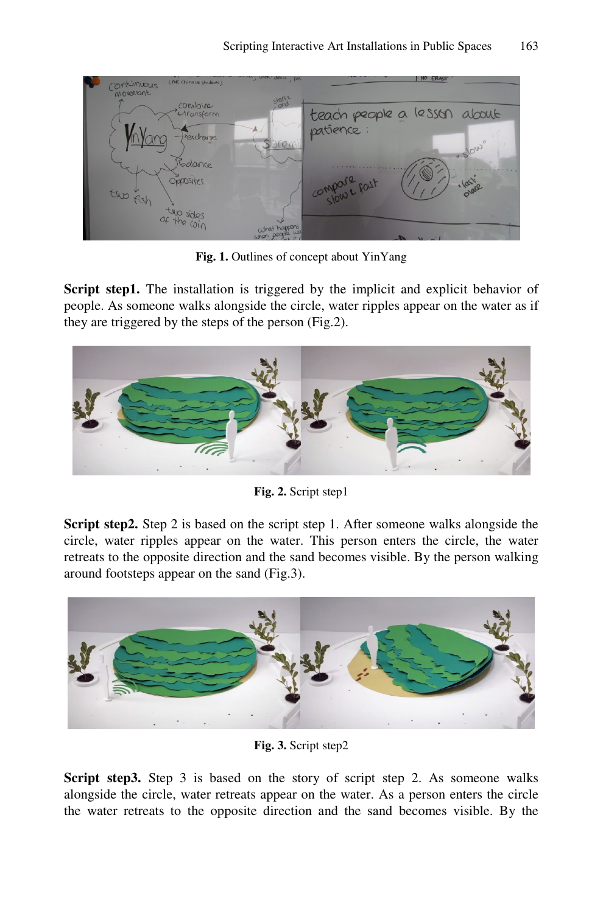

**Fig. 1.** Outlines of concept about YinYang

**Script step1.** The installation is triggered by the implicit and explicit behavior of people. As someone walks alongside the circle, water ripples appear on the water as if they are triggered by the steps of the person (Fig.2).



**Fig. 2.** Script step1

**Script step2.** Step 2 is based on the script step 1. After someone walks alongside the circle, water ripples appear on the water. This person enters the circle, the water retreats to the opposite direction and the sand becomes visible. By the person walking around footsteps appear on the sand (Fig.3).



**Fig. 3.** Script step2

**Script step3.** Step 3 is based on the story of script step 2. As someone walks alongside the circle, water retreats appear on the water. As a person enters the circle the water retreats to the opposite direction and the sand becomes visible. By the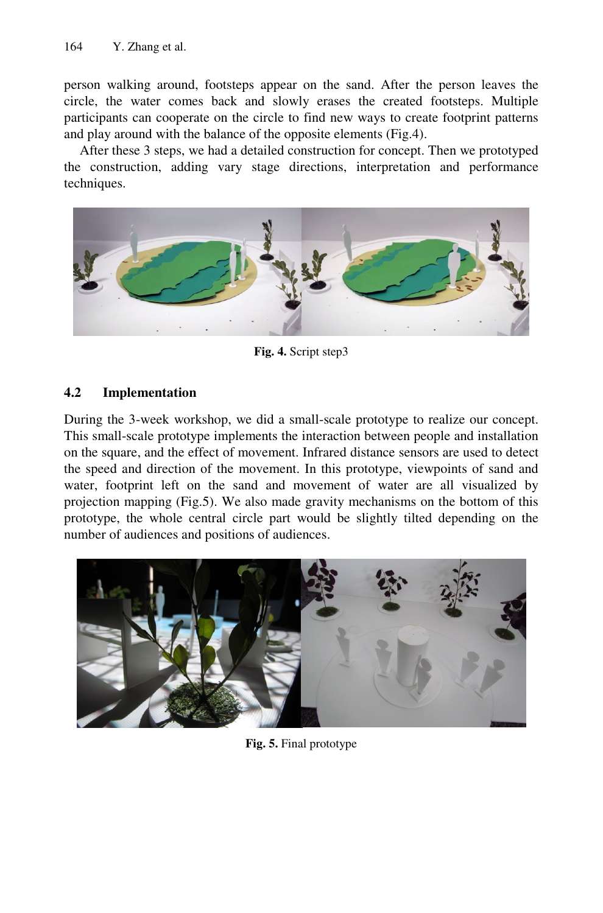person walking around, footsteps appear on the sand. After the person leaves the circle, the water comes back and slowly erases the created footsteps. Multiple participants can cooperate on the circle to find new ways to create footprint patterns and play around with the balance of the opposite elements (Fig.4).

After these 3 steps, we had a detailed construction for concept. Then we prototyped the construction, adding vary stage directions, interpretation and performance techniques.



**Fig. 4.** Script step3

#### **4.2 Implementation**

During the 3-week workshop, we did a small-scale prototype to realize our concept. This small-scale prototype implements the interaction between people and installation on the square, and the effect of movement. Infrared distance sensors are used to detect the speed and direction of the movement. In this prototype, viewpoints of sand and water, footprint left on the sand and movement of water are all visualized by projection mapping (Fig.5). We also made gravity mechanisms on the bottom of this prototype, the whole central circle part would be slightly tilted depending on the number of audiences and positions of audiences.



**Fig. 5.** Final prototype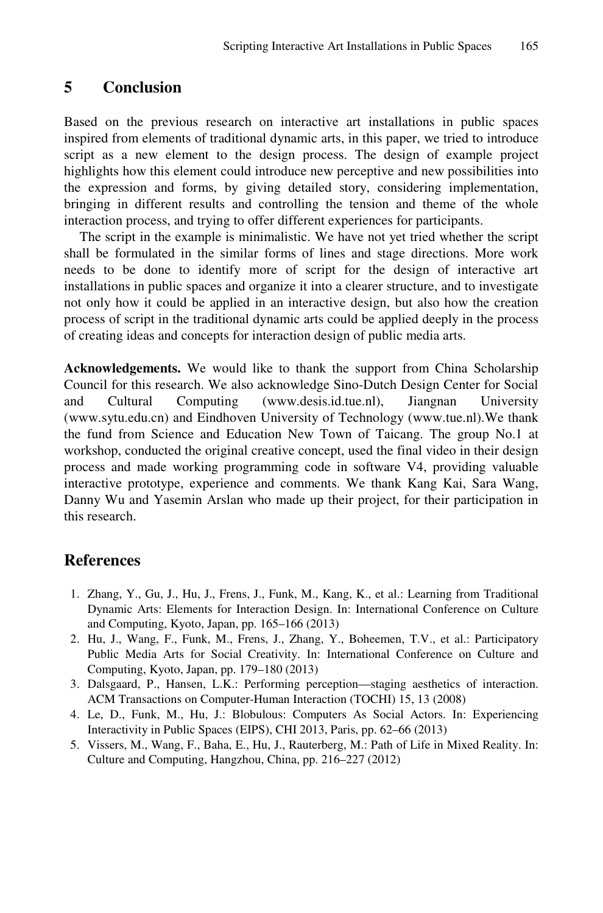# **5 Conclusion**

Based on the previous research on interactive art installations in public spaces inspired from elements of traditional dynamic arts, in this paper, we tried to introduce script as a new element to the design process. The design of example project highlights how this element could introduce new perceptive and new possibilities into the expression and forms, by giving detailed story, considering implementation, bringing in different results and controlling the tension and theme of the whole interaction process, and trying to offer different experiences for participants.

The script in the example is minimalistic. We have not yet tried whether the script shall be formulated in the similar forms of lines and stage directions. More work needs to be done to identify more of script for the design of interactive art installations in public spaces and organize it into a clearer structure, and to investigate not only how it could be applied in an interactive design, but also how the creation process of script in the traditional dynamic arts could be applied deeply in the process of creating ideas and concepts for interaction design of public media arts.

**Acknowledgements.** We would like to thank the support from China Scholarship Council for this research. We also acknowledge Sino-Dutch Design Center for Social and Cultural Computing (www.desis.id.tue.nl), Jiangnan University (www.sytu.edu.cn) and Eindhoven University of Technology (www.tue.nl).We thank the fund from Science and Education New Town of Taicang. The group No.1 at workshop, conducted the original creative concept, used the final video in their design process and made working programming code in software V4, providing valuable interactive prototype, experience and comments. We thank Kang Kai, Sara Wang, Danny Wu and Yasemin Arslan who made up their project, for their participation in this research.

#### **References**

- 1. Zhang, Y., Gu, J., Hu, J., Frens, J., Funk, M., Kang, K., et al.: Learning from Traditional Dynamic Arts: Elements for Interaction Design. In: International Conference on Culture and Computing, Kyoto, Japan, pp. 165–166 (2013)
- 2. Hu, J., Wang, F., Funk, M., Frens, J., Zhang, Y., Boheemen, T.V., et al.: Participatory Public Media Arts for Social Creativity. In: International Conference on Culture and Computing, Kyoto, Japan, pp. 179–180 (2013)
- 3. Dalsgaard, P., Hansen, L.K.: Performing perception—staging aesthetics of interaction. ACM Transactions on Computer-Human Interaction (TOCHI) 15, 13 (2008)
- 4. Le, D., Funk, M., Hu, J.: Blobulous: Computers As Social Actors. In: Experiencing Interactivity in Public Spaces (EIPS), CHI 2013, Paris, pp. 62–66 (2013)
- 5. Vissers, M., Wang, F., Baha, E., Hu, J., Rauterberg, M.: Path of Life in Mixed Reality. In: Culture and Computing, Hangzhou, China, pp. 216–227 (2012)